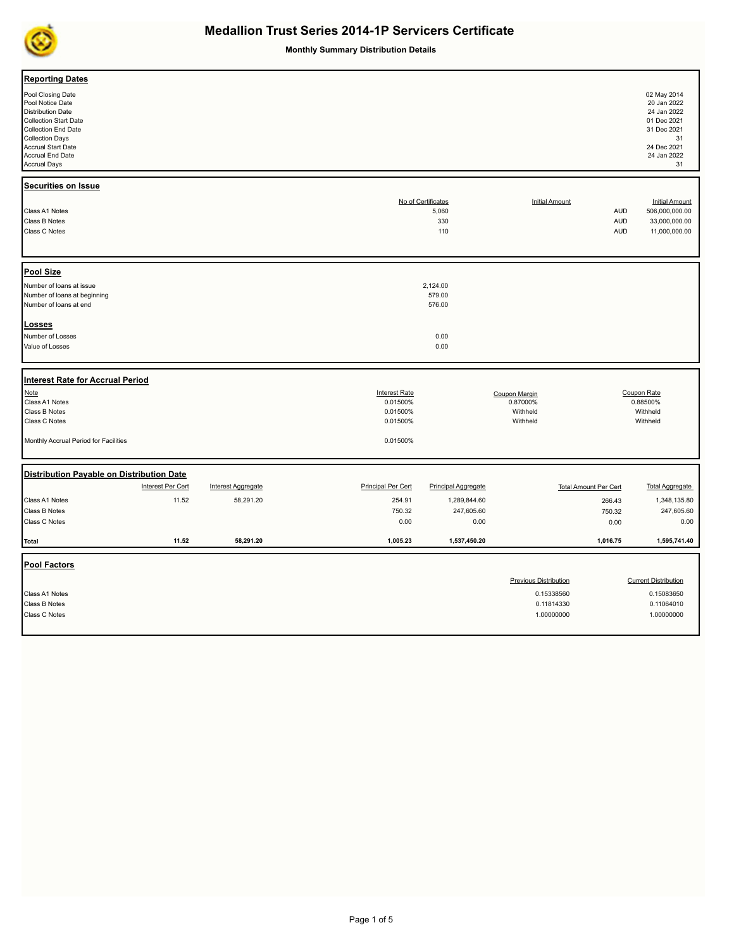

**Monthly Summary Distribution Details**

| <b>Reporting Dates</b>                                                                                                                                                                                                     |                   |                           |                                                          |                                           |                                                   |                                 |                                                                                                                   |
|----------------------------------------------------------------------------------------------------------------------------------------------------------------------------------------------------------------------------|-------------------|---------------------------|----------------------------------------------------------|-------------------------------------------|---------------------------------------------------|---------------------------------|-------------------------------------------------------------------------------------------------------------------|
| Pool Closing Date<br>Pool Notice Date<br><b>Distribution Date</b><br><b>Collection Start Date</b><br>Collection End Date<br><b>Collection Days</b><br><b>Accrual Start Date</b><br>Accrual End Date<br><b>Accrual Days</b> |                   |                           |                                                          |                                           |                                                   |                                 | 02 May 2014<br>20 Jan 2022<br>24 Jan 2022<br>01 Dec 2021<br>31 Dec 2021<br>31<br>24 Dec 2021<br>24 Jan 2022<br>31 |
| Securities on Issue                                                                                                                                                                                                        |                   |                           |                                                          |                                           |                                                   |                                 |                                                                                                                   |
| Class A1 Notes<br>Class B Notes<br>Class C Notes                                                                                                                                                                           |                   |                           |                                                          | No of Certificates<br>5,060<br>330<br>110 | <b>Initial Amount</b>                             | AUD<br><b>AUD</b><br><b>AUD</b> | <b>Initial Amount</b><br>506,000,000.00<br>33,000,000.00<br>11,000,000.00                                         |
|                                                                                                                                                                                                                            |                   |                           |                                                          |                                           |                                                   |                                 |                                                                                                                   |
| Pool Size<br>Number of loans at issue<br>Number of loans at beginning<br>Number of loans at end                                                                                                                            |                   |                           |                                                          | 2,124.00<br>579.00<br>576.00              |                                                   |                                 |                                                                                                                   |
| <b>Losses</b>                                                                                                                                                                                                              |                   |                           |                                                          |                                           |                                                   |                                 |                                                                                                                   |
| Number of Losses<br>Value of Losses                                                                                                                                                                                        |                   |                           |                                                          | 0.00<br>0.00                              |                                                   |                                 |                                                                                                                   |
| Interest Rate for Accrual Period                                                                                                                                                                                           |                   |                           |                                                          |                                           |                                                   |                                 |                                                                                                                   |
| Note<br>Class A1 Notes<br>Class B Notes<br>Class C Notes                                                                                                                                                                   |                   |                           | <b>Interest Rate</b><br>0.01500%<br>0.01500%<br>0.01500% |                                           | Coupon Margin<br>0.87000%<br>Withheld<br>Withheld |                                 | Coupon Rate<br>0.88500%<br>Withheld<br>Withheld                                                                   |
| Monthly Accrual Period for Facilities                                                                                                                                                                                      |                   |                           | 0.01500%                                                 |                                           |                                                   |                                 |                                                                                                                   |
| Distribution Payable on Distribution Date                                                                                                                                                                                  |                   |                           |                                                          |                                           |                                                   |                                 |                                                                                                                   |
|                                                                                                                                                                                                                            | Interest Per Cert | <b>Interest Aggregate</b> | <b>Principal Per Cert</b>                                | <b>Principal Aggregate</b>                |                                                   | <b>Total Amount Per Cert</b>    | <b>Total Aggregate</b>                                                                                            |
| Class A1 Notes<br>Class B Notes                                                                                                                                                                                            | 11.52             | 58,291.20                 | 254.91<br>750.32                                         | 1,289,844.60<br>247,605.60                |                                                   | 266.43<br>750.32                | 1,348,135.80<br>247,605.60                                                                                        |
| Class C Notes                                                                                                                                                                                                              |                   |                           | 0.00                                                     | 0.00                                      |                                                   | 0.00                            | 0.00                                                                                                              |
| <b>Total</b>                                                                                                                                                                                                               | 11.52             | 58,291.20                 | 1,005.23                                                 | 1,537,450.20                              |                                                   | 1,016.75                        | 1,595,741.40                                                                                                      |
| <b>Pool Factors</b>                                                                                                                                                                                                        |                   |                           |                                                          |                                           | <b>Previous Distribution</b>                      |                                 | <b>Current Distribution</b>                                                                                       |
| Class A1 Notes<br>Class B Notes                                                                                                                                                                                            |                   |                           |                                                          |                                           | 0.15338560<br>0.11814330                          |                                 | 0.15083650<br>0.11064010                                                                                          |
| Class C Notes                                                                                                                                                                                                              |                   |                           |                                                          |                                           | 1.00000000                                        |                                 | 1.00000000                                                                                                        |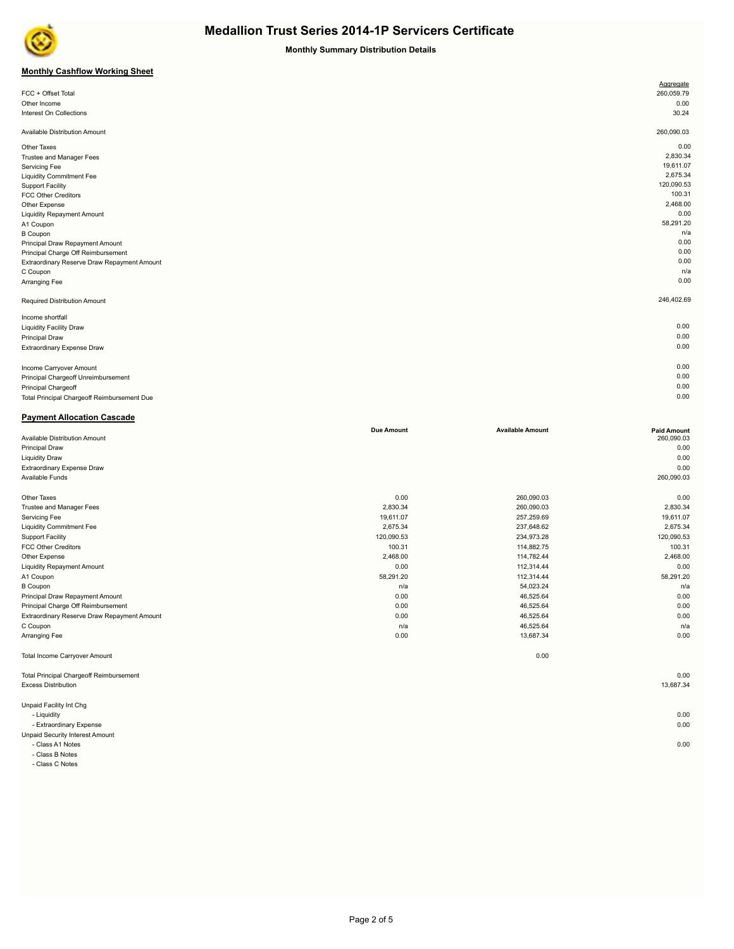

**Monthly Summary Distribution Details**

## **Monthly Cashflow Working Sheet**

|                                             | Aggregate  |
|---------------------------------------------|------------|
| FCC + Offset Total                          | 260,059.79 |
| Other Income                                | 0.00       |
| Interest On Collections                     | 30.24      |
|                                             |            |
| Available Distribution Amount               | 260,090.03 |
| Other Taxes                                 | 0.00       |
| Trustee and Manager Fees                    | 2,830.34   |
| Servicing Fee                               | 19,611.07  |
| <b>Liquidity Commitment Fee</b>             | 2,675.34   |
| <b>Support Facility</b>                     | 120,090.53 |
| <b>FCC Other Creditors</b>                  | 100.31     |
| Other Expense                               | 2,468.00   |
| <b>Liquidity Repayment Amount</b>           | 0.00       |
| A1 Coupon                                   | 58,291.20  |
| <b>B</b> Coupon                             | n/a        |
| Principal Draw Repayment Amount             | 0.00       |
| Principal Charge Off Reimbursement          | 0.00       |
| Extraordinary Reserve Draw Repayment Amount | 0.00       |
| C Coupon                                    | n/a        |
| Arranging Fee                               | 0.00       |
|                                             |            |
| Required Distribution Amount                | 246,402.69 |
| Income shortfall                            |            |
| <b>Liquidity Facility Draw</b>              | 0.00       |
| Principal Draw                              | 0.00       |
| Extraordinary Expense Draw                  | 0.00       |
|                                             |            |
| Income Carryover Amount                     | 0.00       |
| Principal Chargeoff Unreimbursement         | 0.00       |
| Principal Chargeoff                         | 0.00       |
| Total Principal Chargeoff Reimbursement Due | 0.00       |
|                                             |            |

#### **Payment Allocation Cascade**

|                                                | <b>Due Amount</b> | <b>Available Amount</b> | <b>Paid Amount</b> |
|------------------------------------------------|-------------------|-------------------------|--------------------|
| Available Distribution Amount                  |                   |                         | 260,090.03         |
| <b>Principal Draw</b>                          |                   |                         | 0.00               |
| <b>Liquidity Draw</b>                          |                   |                         | 0.00               |
| <b>Extraordinary Expense Draw</b>              |                   |                         | 0.00               |
| Available Funds                                |                   |                         | 260,090.03         |
| Other Taxes                                    | 0.00              | 260,090.03              | 0.00               |
| <b>Trustee and Manager Fees</b>                | 2,830.34          | 260,090.03              | 2,830.34           |
| Servicing Fee                                  | 19,611.07         | 257,259.69              | 19,611.07          |
| <b>Liquidity Commitment Fee</b>                | 2,675.34          | 237,648.62              | 2,675.34           |
| <b>Support Facility</b>                        | 120,090.53        | 234,973.28              | 120,090.53         |
| <b>FCC Other Creditors</b>                     | 100.31            | 114,882.75              | 100.31             |
| Other Expense                                  | 2,468.00          | 114,782.44              | 2,468.00           |
| <b>Liquidity Repayment Amount</b>              | 0.00              | 112,314.44              | 0.00               |
| A1 Coupon                                      | 58,291.20         | 112,314.44              | 58,291.20          |
| <b>B</b> Coupon                                | n/a               | 54,023.24               | n/a                |
| Principal Draw Repayment Amount                | 0.00              | 46,525.64               | 0.00               |
| Principal Charge Off Reimbursement             | 0.00              | 46,525.64               | 0.00               |
| Extraordinary Reserve Draw Repayment Amount    | 0.00              | 46,525.64               | 0.00               |
| C Coupon                                       | n/a               | 46,525.64               | n/a                |
| Arranging Fee                                  | 0.00              | 13,687.34               | 0.00               |
| <b>Total Income Carryover Amount</b>           |                   | 0.00                    |                    |
| <b>Total Principal Chargeoff Reimbursement</b> |                   |                         | 0.00               |
| <b>Excess Distribution</b>                     |                   |                         | 13,687.34          |
| Unpaid Facility Int Chg                        |                   |                         |                    |
| - Liquidity                                    |                   |                         | 0.00               |
| - Extraordinary Expense                        |                   |                         | 0.00               |
| <b>Unpaid Security Interest Amount</b>         |                   |                         |                    |
| - Class A1 Notes                               |                   |                         | 0.00               |

- Class A1 Notes 0.00

- Class B Notes

- Class C Notes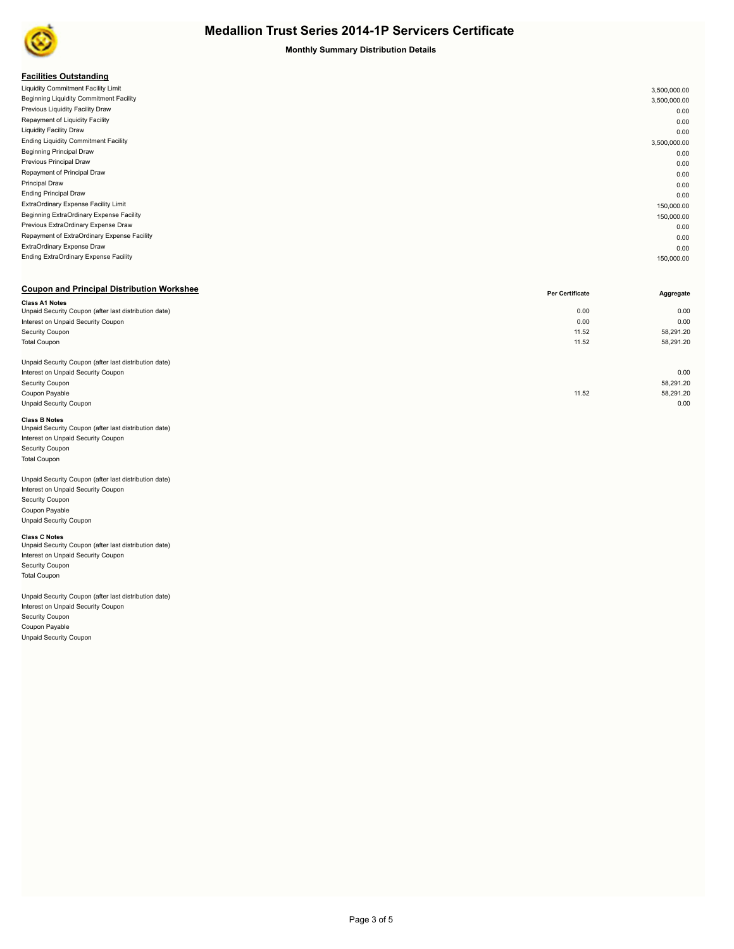

#### **Monthly Summary Distribution Details**

### **Facilities Outstanding**

| . acmacs outstanding                         |              |
|----------------------------------------------|--------------|
| Liquidity Commitment Facility Limit          | 3,500,000.00 |
| Beginning Liquidity Commitment Facility      | 3,500,000.00 |
| Previous Liquidity Facility Draw             | 0.00         |
| Repayment of Liquidity Facility              | 0.00         |
| <b>Liquidity Facility Draw</b>               | 0.00         |
| <b>Ending Liquidity Commitment Facility</b>  | 3,500,000.00 |
| <b>Beginning Principal Draw</b>              | 0.00         |
| Previous Principal Draw                      | 0.00         |
| Repayment of Principal Draw                  | 0.00         |
| <b>Principal Draw</b>                        | 0.00         |
| <b>Ending Principal Draw</b>                 | 0.00         |
| ExtraOrdinary Expense Facility Limit         | 150,000.00   |
| Beginning ExtraOrdinary Expense Facility     | 150,000.00   |
| Previous ExtraOrdinary Expense Draw          | 0.00         |
| Repayment of ExtraOrdinary Expense Facility  | 0.00         |
| ExtraOrdinary Expense Draw                   | 0.00         |
| <b>Ending ExtraOrdinary Expense Facility</b> | 150,000.00   |
|                                              |              |

## **Coupon and Principal Distribution Workshee**

|                                                       | Per Gertificate | Aggregate |
|-------------------------------------------------------|-----------------|-----------|
| <b>Class A1 Notes</b>                                 |                 |           |
| Unpaid Security Coupon (after last distribution date) | 0.00            | 0.00      |
| Interest on Unpaid Security Coupon                    | 0.00            | 0.00      |
| Security Coupon                                       | 11.52           | 58,291.20 |
| <b>Total Coupon</b>                                   | 11.52           | 58,291.20 |
|                                                       |                 |           |
| Unpaid Security Coupon (after last distribution date) |                 |           |
| Interest on Unpaid Security Coupon                    |                 | 0.00      |
| Security Coupon                                       |                 | 58,291.20 |
| Coupon Payable                                        | 11.52           | 58,291.20 |
| <b>Unpaid Security Coupon</b>                         |                 | 0.00      |
|                                                       |                 |           |

#### **Class B Notes**

| Unpaid Security Coupon (after last distribution date) |  |
|-------------------------------------------------------|--|
| Interest on Unpaid Security Coupon                    |  |
| <b>Security Coupon</b>                                |  |
| <b>Total Coupon</b>                                   |  |
|                                                       |  |

## Unpaid Security Coupon (after last distribution date)

Interest on Unpaid Security Coupon Security Coupon Coupon Payable Unpaid Security Coupon

**Class C Notes**<br>Unpaid Security Coupon (after last distribution date) Interest on Unpaid Security Coupon Security Coupon Total Coupon

Unpaid Security Coupon (after last distribution date) Interest on Unpaid Security Coupon Security Coupon Coupon Payable Unpaid Security Coupon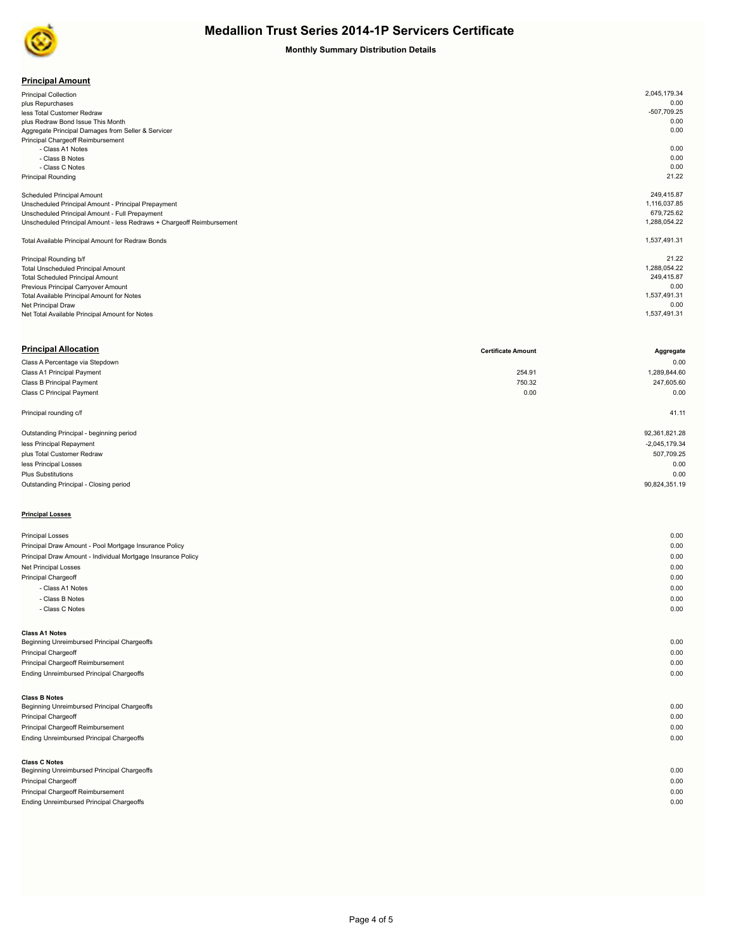

## **Monthly Summary Distribution Details**

| <b>Principal Amount</b> |
|-------------------------|
|-------------------------|

| <b>Principal Collection</b>                                           | 2,045,179.34 |
|-----------------------------------------------------------------------|--------------|
| plus Repurchases                                                      | 0.00         |
| less Total Customer Redraw                                            | -507,709.25  |
| plus Redraw Bond Issue This Month                                     | 0.00         |
| Aggregate Principal Damages from Seller & Servicer                    | 0.00         |
| Principal Chargeoff Reimbursement                                     |              |
| - Class A1 Notes                                                      | 0.00         |
| - Class B Notes                                                       | 0.00         |
| - Class C Notes                                                       | 0.00         |
| <b>Principal Rounding</b>                                             | 21.22        |
|                                                                       |              |
| <b>Scheduled Principal Amount</b>                                     | 249,415.87   |
| Unscheduled Principal Amount - Principal Prepayment                   | 1,116,037.85 |
| Unscheduled Principal Amount - Full Prepayment                        | 679,725.62   |
| Unscheduled Principal Amount - less Redraws + Chargeoff Reimbursement | 1,288,054.22 |
|                                                                       |              |
| Total Available Principal Amount for Redraw Bonds                     | 1,537,491.31 |
|                                                                       |              |
| Principal Rounding b/f                                                | 21.22        |
| <b>Total Unscheduled Principal Amount</b>                             | 1,288,054.22 |
| <b>Total Scheduled Principal Amount</b>                               | 249.415.87   |
| Previous Principal Carryover Amount                                   | 0.00         |
| Total Available Principal Amount for Notes                            | 1,537,491.31 |
| Net Principal Draw                                                    | 0.00         |
| Net Total Available Principal Amount for Notes                        | 1,537,491.31 |
|                                                                       |              |

| <b>Principal Allocation</b>                                  | <b>Certificate Amount</b> | Aggregate       |
|--------------------------------------------------------------|---------------------------|-----------------|
| Class A Percentage via Stepdown                              |                           | 0.00            |
| Class A1 Principal Payment                                   | 254.91                    | 1,289,844.60    |
| Class B Principal Payment                                    | 750.32                    | 247,605.60      |
| Class C Principal Payment                                    | 0.00                      | 0.00            |
| Principal rounding c/f                                       |                           | 41.11           |
| Outstanding Principal - beginning period                     |                           | 92,361,821.28   |
| less Principal Repayment                                     |                           | $-2,045,179.34$ |
| plus Total Customer Redraw                                   |                           | 507,709.25      |
| less Principal Losses                                        |                           | 0.00            |
| <b>Plus Substitutions</b>                                    |                           | 0.00            |
| Outstanding Principal - Closing period                       |                           | 90,824,351.19   |
| <b>Principal Losses</b>                                      |                           |                 |
| <b>Principal Losses</b>                                      |                           | 0.00            |
| Principal Draw Amount - Pool Mortgage Insurance Policy       |                           | 0.00            |
| Principal Draw Amount - Individual Mortgage Insurance Policy |                           | 0.00            |

| Net Principal Losses                        | 0.00 |
|---------------------------------------------|------|
| Principal Chargeoff                         | 0.00 |
| - Class A1 Notes                            | 0.00 |
| - Class B Notes                             | 0.00 |
| - Class C Notes                             | 0.00 |
|                                             |      |
| Class A1 Notes                              |      |
| Beginning Unreimbursed Principal Chargeoffs | 0.00 |
| Principal Chargeoff                         | 0.00 |
| Principal Chargeoff Reimbursement           | 0.00 |
| Ending Unreimbursed Principal Chargeoffs    | 0.00 |
|                                             |      |
| <b>Class B Notes</b>                        |      |
| Beginning Unreimbursed Principal Chargeoffs | 0.00 |
| Principal Chargeoff                         | 0.00 |
| Principal Chargeoff Reimbursement           | 0.00 |
| Ending Unreimbursed Principal Chargeoffs    | 0.00 |
|                                             |      |
| <b>Class C Notes</b>                        |      |
| Beginning Unreimbursed Principal Chargeoffs | 0.00 |
| Principal Chargeoff                         | 0.00 |
|                                             |      |